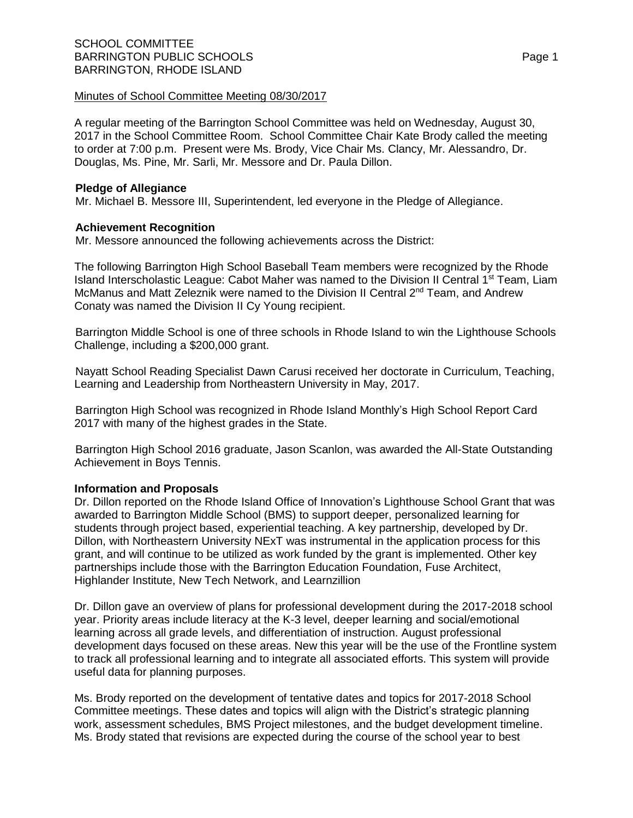A regular meeting of the Barrington School Committee was held on Wednesday, August 30, 2017 in the School Committee Room. School Committee Chair Kate Brody called the meeting to order at 7:00 p.m. Present were Ms. Brody, Vice Chair Ms. Clancy, Mr. Alessandro, Dr. Douglas, Ms. Pine, Mr. Sarli, Mr. Messore and Dr. Paula Dillon.

# **Pledge of Allegiance**

Mr. Michael B. Messore III, Superintendent, led everyone in the Pledge of Allegiance.

# **Achievement Recognition**

Mr. Messore announced the following achievements across the District:

The following Barrington High School Baseball Team members were recognized by the Rhode Island Interscholastic League: Cabot Maher was named to the Division II Central 1<sup>st</sup> Team, Liam McManus and Matt Zeleznik were named to the Division II Central  $2<sup>nd</sup> Team$ , and Andrew Conaty was named the Division II Cy Young recipient.

Barrington Middle School is one of three schools in Rhode Island to win the Lighthouse Schools Challenge, including a \$200,000 grant.

Nayatt School Reading Specialist Dawn Carusi received her doctorate in Curriculum, Teaching, Learning and Leadership from Northeastern University in May, 2017.

Barrington High School was recognized in Rhode Island Monthly's High School Report Card 2017 with many of the highest grades in the State.

Barrington High School 2016 graduate, Jason Scanlon, was awarded the All-State Outstanding Achievement in Boys Tennis.

# **Information and Proposals**

Dr. Dillon reported on the Rhode Island Office of Innovation's Lighthouse School Grant that was awarded to Barrington Middle School (BMS) to support deeper, personalized learning for students through project based, experiential teaching. A key partnership, developed by Dr. Dillon, with Northeastern University NExT was instrumental in the application process for this grant, and will continue to be utilized as work funded by the grant is implemented. Other key partnerships include those with the Barrington Education Foundation, Fuse Architect, Highlander Institute, New Tech Network, and Learnzillion

Dr. Dillon gave an overview of plans for professional development during the 2017-2018 school year. Priority areas include literacy at the K-3 level, deeper learning and social/emotional learning across all grade levels, and differentiation of instruction. August professional development days focused on these areas. New this year will be the use of the Frontline system to track all professional learning and to integrate all associated efforts. This system will provide useful data for planning purposes.

Ms. Brody reported on the development of tentative dates and topics for 2017-2018 School Committee meetings. These dates and topics will align with the District's strategic planning work, assessment schedules, BMS Project milestones, and the budget development timeline. Ms. Brody stated that revisions are expected during the course of the school year to best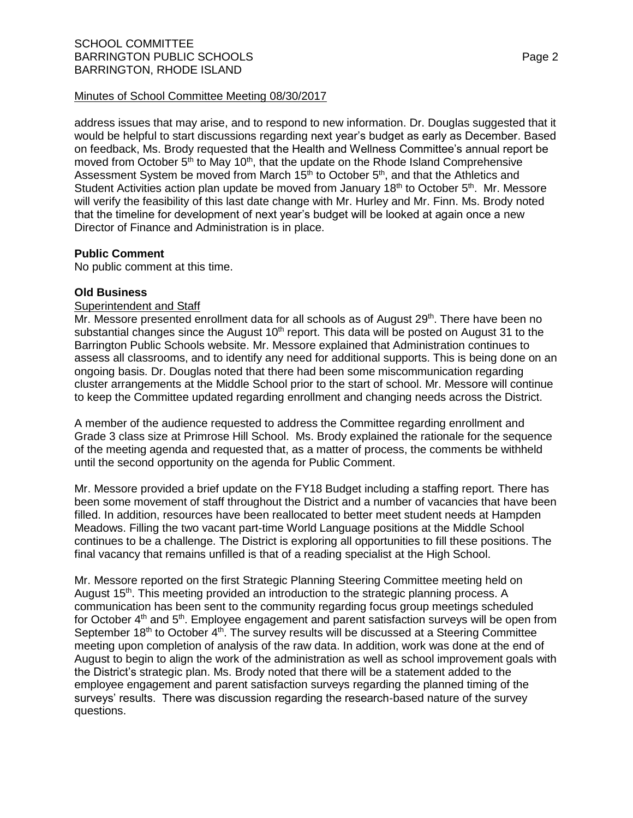address issues that may arise, and to respond to new information. Dr. Douglas suggested that it would be helpful to start discussions regarding next year's budget as early as December. Based on feedback, Ms. Brody requested that the Health and Wellness Committee's annual report be moved from October  $5<sup>th</sup>$  to May 10<sup>th</sup>, that the update on the Rhode Island Comprehensive Assessment System be moved from March 15<sup>th</sup> to October 5<sup>th</sup>, and that the Athletics and Student Activities action plan update be moved from January  $18<sup>th</sup>$  to October  $5<sup>th</sup>$ . Mr. Messore will verify the feasibility of this last date change with Mr. Hurley and Mr. Finn. Ms. Brody noted that the timeline for development of next year's budget will be looked at again once a new Director of Finance and Administration is in place.

# **Public Comment**

No public comment at this time.

# **Old Business**

## **Superintendent and Staff**

Mr. Messore presented enrollment data for all schools as of August 29<sup>th</sup>. There have been no substantial changes since the August 10<sup>th</sup> report. This data will be posted on August 31 to the Barrington Public Schools website. Mr. Messore explained that Administration continues to assess all classrooms, and to identify any need for additional supports. This is being done on an ongoing basis. Dr. Douglas noted that there had been some miscommunication regarding cluster arrangements at the Middle School prior to the start of school. Mr. Messore will continue to keep the Committee updated regarding enrollment and changing needs across the District.

A member of the audience requested to address the Committee regarding enrollment and Grade 3 class size at Primrose Hill School. Ms. Brody explained the rationale for the sequence of the meeting agenda and requested that, as a matter of process, the comments be withheld until the second opportunity on the agenda for Public Comment.

Mr. Messore provided a brief update on the FY18 Budget including a staffing report. There has been some movement of staff throughout the District and a number of vacancies that have been filled. In addition, resources have been reallocated to better meet student needs at Hampden Meadows. Filling the two vacant part-time World Language positions at the Middle School continues to be a challenge. The District is exploring all opportunities to fill these positions. The final vacancy that remains unfilled is that of a reading specialist at the High School.

Mr. Messore reported on the first Strategic Planning Steering Committee meeting held on August 15<sup>th</sup>. This meeting provided an introduction to the strategic planning process. A communication has been sent to the community regarding focus group meetings scheduled for October 4<sup>th</sup> and 5<sup>th</sup>. Employee engagement and parent satisfaction surveys will be open from September 18<sup>th</sup> to October 4<sup>th</sup>. The survey results will be discussed at a Steering Committee meeting upon completion of analysis of the raw data. In addition, work was done at the end of August to begin to align the work of the administration as well as school improvement goals with the District's strategic plan. Ms. Brody noted that there will be a statement added to the employee engagement and parent satisfaction surveys regarding the planned timing of the surveys' results. There was discussion regarding the research-based nature of the survey questions.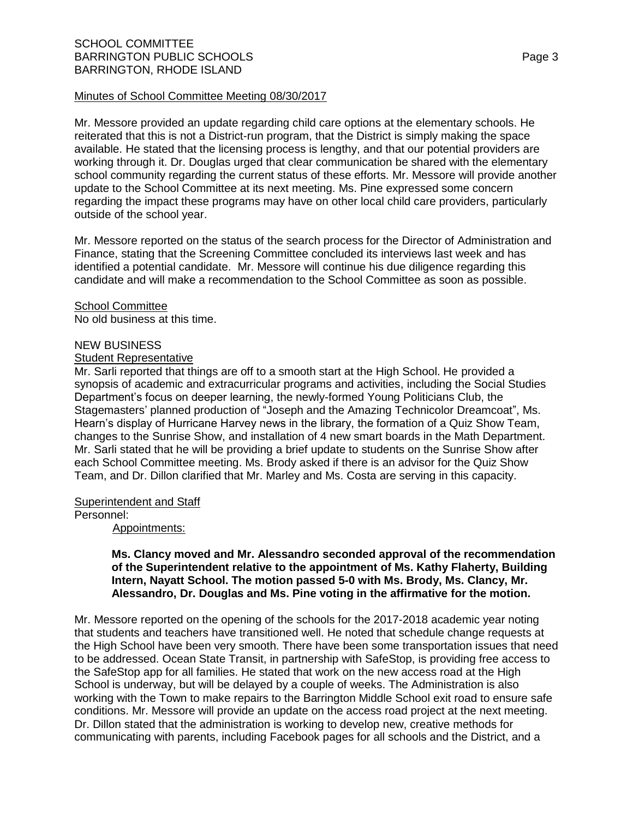Mr. Messore provided an update regarding child care options at the elementary schools. He reiterated that this is not a District-run program, that the District is simply making the space available. He stated that the licensing process is lengthy, and that our potential providers are working through it. Dr. Douglas urged that clear communication be shared with the elementary school community regarding the current status of these efforts. Mr. Messore will provide another update to the School Committee at its next meeting. Ms. Pine expressed some concern regarding the impact these programs may have on other local child care providers, particularly outside of the school year.

Mr. Messore reported on the status of the search process for the Director of Administration and Finance, stating that the Screening Committee concluded its interviews last week and has identified a potential candidate. Mr. Messore will continue his due diligence regarding this candidate and will make a recommendation to the School Committee as soon as possible.

School Committee No old business at this time.

## NEW BUSINESS

#### Student Representative

Mr. Sarli reported that things are off to a smooth start at the High School. He provided a synopsis of academic and extracurricular programs and activities, including the Social Studies Department's focus on deeper learning, the newly-formed Young Politicians Club, the Stagemasters' planned production of "Joseph and the Amazing Technicolor Dreamcoat", Ms. Hearn's display of Hurricane Harvey news in the library, the formation of a Quiz Show Team, changes to the Sunrise Show, and installation of 4 new smart boards in the Math Department. Mr. Sarli stated that he will be providing a brief update to students on the Sunrise Show after each School Committee meeting. Ms. Brody asked if there is an advisor for the Quiz Show Team, and Dr. Dillon clarified that Mr. Marley and Ms. Costa are serving in this capacity.

## **Superintendent and Staff**

Personnel:

Appointments:

## **Ms. Clancy moved and Mr. Alessandro seconded approval of the recommendation of the Superintendent relative to the appointment of Ms. Kathy Flaherty, Building Intern, Nayatt School. The motion passed 5-0 with Ms. Brody, Ms. Clancy, Mr. Alessandro, Dr. Douglas and Ms. Pine voting in the affirmative for the motion.**

Mr. Messore reported on the opening of the schools for the 2017-2018 academic year noting that students and teachers have transitioned well. He noted that schedule change requests at the High School have been very smooth. There have been some transportation issues that need to be addressed. Ocean State Transit, in partnership with SafeStop, is providing free access to the SafeStop app for all families. He stated that work on the new access road at the High School is underway, but will be delayed by a couple of weeks. The Administration is also working with the Town to make repairs to the Barrington Middle School exit road to ensure safe conditions. Mr. Messore will provide an update on the access road project at the next meeting. Dr. Dillon stated that the administration is working to develop new, creative methods for communicating with parents, including Facebook pages for all schools and the District, and a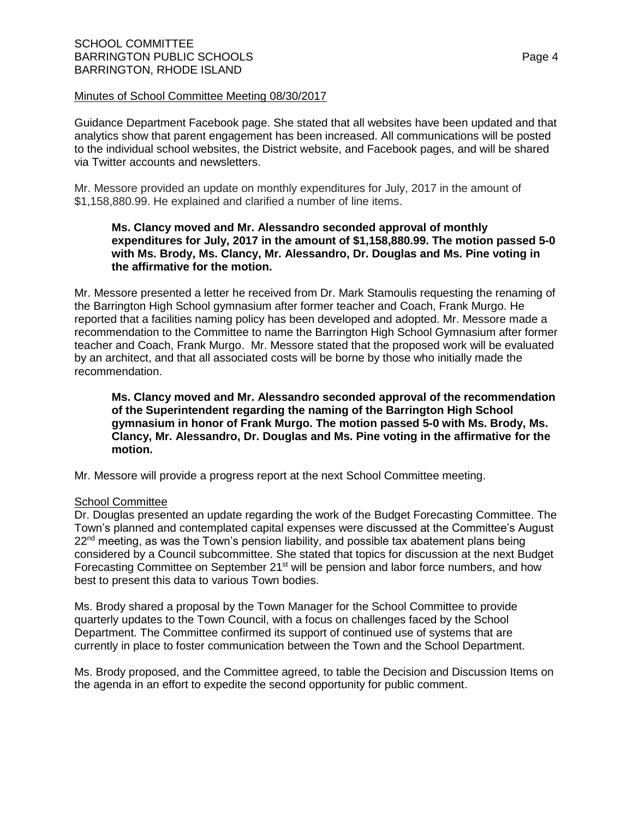Guidance Department Facebook page. She stated that all websites have been updated and that analytics show that parent engagement has been increased. All communications will be posted to the individual school websites, the District website, and Facebook pages, and will be shared via Twitter accounts and newsletters.

Mr. Messore provided an update on monthly expenditures for July, 2017 in the amount of \$1,158,880.99. He explained and clarified a number of line items.

## **Ms. Clancy moved and Mr. Alessandro seconded approval of monthly expenditures for July, 2017 in the amount of \$1,158,880.99. The motion passed 5-0 with Ms. Brody, Ms. Clancy, Mr. Alessandro, Dr. Douglas and Ms. Pine voting in the affirmative for the motion.**

Mr. Messore presented a letter he received from Dr. Mark Stamoulis requesting the renaming of the Barrington High School gymnasium after former teacher and Coach, Frank Murgo. He reported that a facilities naming policy has been developed and adopted. Mr. Messore made a recommendation to the Committee to name the Barrington High School Gymnasium after former teacher and Coach, Frank Murgo. Mr. Messore stated that the proposed work will be evaluated by an architect, and that all associated costs will be borne by those who initially made the recommendation.

**Ms. Clancy moved and Mr. Alessandro seconded approval of the recommendation of the Superintendent regarding the naming of the Barrington High School gymnasium in honor of Frank Murgo. The motion passed 5-0 with Ms. Brody, Ms. Clancy, Mr. Alessandro, Dr. Douglas and Ms. Pine voting in the affirmative for the motion.**

Mr. Messore will provide a progress report at the next School Committee meeting.

# School Committee

Dr. Douglas presented an update regarding the work of the Budget Forecasting Committee. The Town's planned and contemplated capital expenses were discussed at the Committee's August  $22<sup>nd</sup>$  meeting, as was the Town's pension liability, and possible tax abatement plans being considered by a Council subcommittee. She stated that topics for discussion at the next Budget Forecasting Committee on September 21<sup>st</sup> will be pension and labor force numbers, and how best to present this data to various Town bodies.

Ms. Brody shared a proposal by the Town Manager for the School Committee to provide quarterly updates to the Town Council, with a focus on challenges faced by the School Department. The Committee confirmed its support of continued use of systems that are currently in place to foster communication between the Town and the School Department.

Ms. Brody proposed, and the Committee agreed, to table the Decision and Discussion Items on the agenda in an effort to expedite the second opportunity for public comment.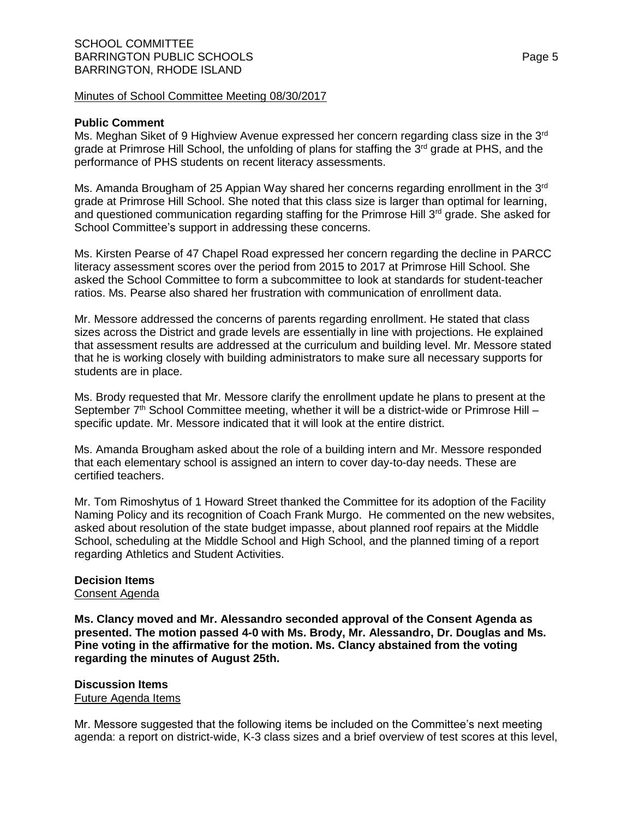#### **Public Comment**

Ms. Meghan Siket of 9 Highview Avenue expressed her concern regarding class size in the 3<sup>rd</sup> grade at Primrose Hill School, the unfolding of plans for staffing the  $3<sup>rd</sup>$  grade at PHS, and the performance of PHS students on recent literacy assessments.

Ms. Amanda Brougham of 25 Appian Way shared her concerns regarding enrollment in the 3<sup>rd</sup> grade at Primrose Hill School. She noted that this class size is larger than optimal for learning, and questioned communication regarding staffing for the Primrose Hill  $3<sup>rd</sup>$  grade. She asked for School Committee's support in addressing these concerns.

Ms. Kirsten Pearse of 47 Chapel Road expressed her concern regarding the decline in PARCC literacy assessment scores over the period from 2015 to 2017 at Primrose Hill School. She asked the School Committee to form a subcommittee to look at standards for student-teacher ratios. Ms. Pearse also shared her frustration with communication of enrollment data.

Mr. Messore addressed the concerns of parents regarding enrollment. He stated that class sizes across the District and grade levels are essentially in line with projections. He explained that assessment results are addressed at the curriculum and building level. Mr. Messore stated that he is working closely with building administrators to make sure all necessary supports for students are in place.

Ms. Brody requested that Mr. Messore clarify the enrollment update he plans to present at the September  $7<sup>th</sup>$  School Committee meeting, whether it will be a district-wide or Primrose Hill – specific update. Mr. Messore indicated that it will look at the entire district.

Ms. Amanda Brougham asked about the role of a building intern and Mr. Messore responded that each elementary school is assigned an intern to cover day-to-day needs. These are certified teachers.

Mr. Tom Rimoshytus of 1 Howard Street thanked the Committee for its adoption of the Facility Naming Policy and its recognition of Coach Frank Murgo. He commented on the new websites, asked about resolution of the state budget impasse, about planned roof repairs at the Middle School, scheduling at the Middle School and High School, and the planned timing of a report regarding Athletics and Student Activities.

# **Decision Items**

Consent Agenda

**Ms. Clancy moved and Mr. Alessandro seconded approval of the Consent Agenda as presented. The motion passed 4-0 with Ms. Brody, Mr. Alessandro, Dr. Douglas and Ms. Pine voting in the affirmative for the motion. Ms. Clancy abstained from the voting regarding the minutes of August 25th.**

# **Discussion Items**

Future Agenda Items

Mr. Messore suggested that the following items be included on the Committee's next meeting agenda: a report on district-wide, K-3 class sizes and a brief overview of test scores at this level,